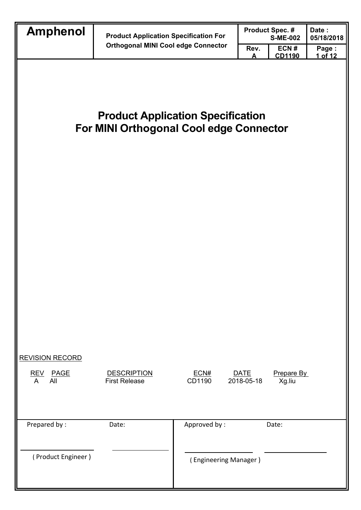| <b>Amphenol</b>                             |                                                                                            |                       |                           | <b>Product Spec. #</b> | Date:            |
|---------------------------------------------|--------------------------------------------------------------------------------------------|-----------------------|---------------------------|------------------------|------------------|
|                                             | <b>Product Application Specification For</b><br><b>Orthogonal MINI Cool edge Connector</b> |                       | <b>S-ME-002</b>           |                        | 05/18/2018       |
|                                             |                                                                                            |                       | Rev.<br>Δ                 | ECN#<br><b>CD1190</b>  | Page:<br>1 of 12 |
|                                             | <b>Product Application Specification</b><br>For MINI Orthogonal Cool edge Connector        |                       |                           |                        |                  |
| <b>REVISION RECORD</b><br>REV PAGE<br>A All | <b>DESCRIPTION</b><br><b>First Release</b>                                                 | ECN#<br>CD1190        | <b>DATE</b><br>2018-05-18 | Prepare By<br>Xg.liu   |                  |
| Prepared by:                                | Date:                                                                                      | Approved by:          |                           | Date:                  |                  |
| (Product Engineer)                          |                                                                                            | (Engineering Manager) |                           |                        |                  |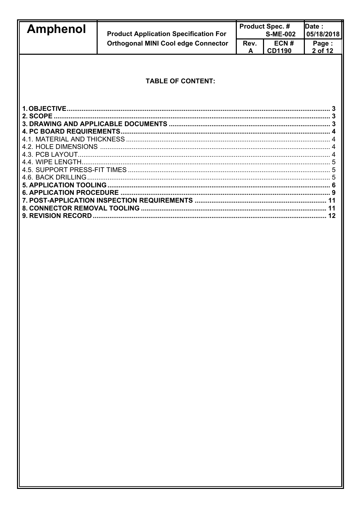| <b>Amphenol</b> | <b>Product Application Specification For</b> |           | <b>Product Spec. #</b><br><b>S-ME-002</b> | Date:<br>05/18/2018 |  |
|-----------------|----------------------------------------------|-----------|-------------------------------------------|---------------------|--|
|                 | <b>Orthogonal MINI Cool edge Connector</b>   | Rev.<br>A | ECN#<br><b>CD1190</b>                     | Page:<br>2 of 12    |  |
|                 |                                              |           |                                           |                     |  |
|                 | <b>TABLE OF CONTENT:</b>                     |           |                                           |                     |  |
|                 |                                              |           |                                           |                     |  |
|                 |                                              |           |                                           |                     |  |
|                 |                                              |           |                                           |                     |  |
|                 |                                              |           |                                           |                     |  |
|                 |                                              |           |                                           |                     |  |
|                 |                                              |           |                                           |                     |  |
|                 |                                              |           |                                           |                     |  |
|                 |                                              |           |                                           |                     |  |
|                 |                                              |           |                                           |                     |  |
|                 |                                              |           |                                           |                     |  |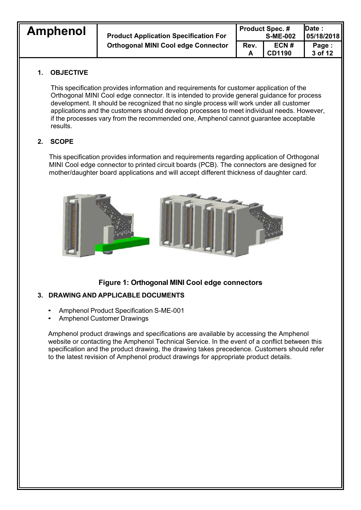**Amphenol Product Application Specification For Orthogonal MINI Cool edge Connector** 

| Date:<br><b>Product Spec. #</b> |                 |            |  |  |
|---------------------------------|-----------------|------------|--|--|
|                                 | <b>S-ME-002</b> | 05/18/2018 |  |  |
| Rev.                            | ECN#            | Page:      |  |  |
| А                               | <b>CD1190</b>   | 3 of 12    |  |  |

## **1. OBJECTIVE**

This specification provides information and requirements for customer application of the Orthogonal MINI Cool edge connector. It is intended to provide general guidance for process development. It should be recognized that no single process will work under all customer applications and the customers should develop processes to meet individual needs. However, if the processes vary from the recommended one, Amphenol cannot guarantee acceptable results.

## **2. SCOPE**

This specification provides information and requirements regarding application of Orthogonal MINI Cool edge connector to printed circuit boards (PCB). The connectors are designed for mother/daughter board applications and will accept different thickness of daughter card.



## **Figure 1: Orthogonal MINI Cool edge connectors**

## **3. DRAWING AND APPLICABLE DOCUMENTS**

- Amphenol Product Specification S-ME-001
- Amphenol Customer Drawings

Amphenol product drawings and specifications are available by accessing the Amphenol website or contacting the Amphenol Technical Service. In the event of a conflict between this specification and the product drawing, the drawing takes precedence. Customers should refer to the latest revision of Amphenol product drawings for appropriate product details.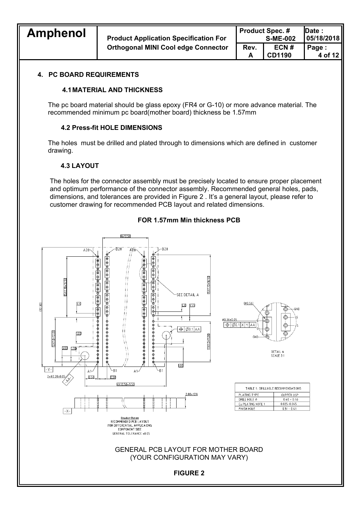| <b>Amphenol</b> | <b>Product Application Specification For</b> | <b>Product Spec. #</b><br><b>S-ME-002</b> |                       | <b>IDate:</b><br> 05/18/2018 |
|-----------------|----------------------------------------------|-------------------------------------------|-----------------------|------------------------------|
|                 | <b>Orthogonal MINI Cool edge Connector</b>   | Rev.                                      | ECN#<br><b>CD1190</b> | Page:<br>4 of 12             |

#### **4. PC BOARD REQUIREMENTS**

#### **4.1 MATERIAL AND THICKNESS**

The pc board material should be glass epoxy (FR4 or G-10) or more advance material. The recommended minimum pc board(mother board) thickness be 1.57mm

#### **4.2 Press-fit HOLE DIMENSIONS**

The holes must be drilled and plated through to dimensions which are defined in customer drawing.

#### **4.3 LAYOUT**

The holes for the connector assembly must be precisely located to ensure proper placement and optimum performance of the connector assembly. Recommended general holes, pads, dimensions, and tolerances are provided in Figure 2 . It's a general layout, please refer to customer drawing for recommended PCB layout and related dimensions.



#### **FOR 1.57mm Min thickness PCB**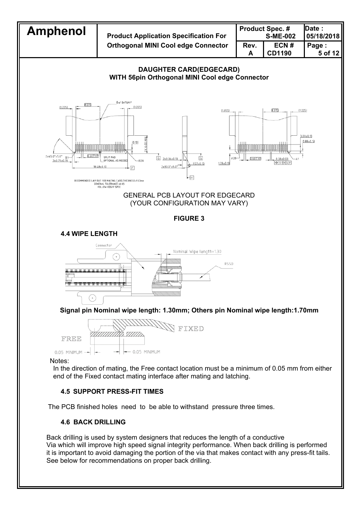

## **4.6 BACK DRILLING**

Back drilling is used by system designers that reduces the length of a conductive Via which will improve high speed signal integrity performance. When back drilling is performed it is important to avoid damaging the portion of the via that makes contact with any press-fit tails. See below for recommendations on proper back drilling.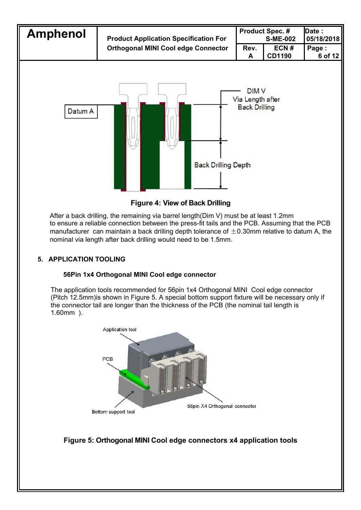

**Figure 4: View of Back Drilling** 

After a back drilling, the remaining via barrel length(Dim V) must be at least 1.2mm to ensure a reliable connection between the press-fit tails and the PCB. Assuming that the PCB manufacturer can maintain a back drilling depth tolerance of  $\pm$ 0.30mm relative to datum A, the nominal via length after back drilling would need to be 1.5mm.

## **5. APPLICATION TOOLING**

## **56Pin 1x4 Orthogonal MINI Cool edge connector**

The application tools recommended for 56pin 1x4 Orthogonal MINI Cool edge connector (Pitch 12.5mm)is shown in Figure 5. A special bottom support fixture will be necessary only if the connector tail are longer than the thickness of the PCB (the nominal tail length is 1.60mm ).



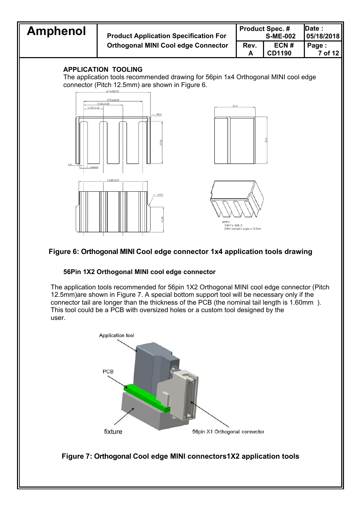

## **Figure 6: Orthogonal MINI Cool edge connector 1x4 application tools drawing**

#### **56Pin 1X2 Orthogonal MINI cool edge connector**

The application tools recommended for 56pin 1X2 Orthogonal MINI cool edge connector (Pitch 12.5mm)are shown in Figure 7. A special bottom support tool will be necessary only if the connector tail are longer than the thickness of the PCB (the nominal tail length is 1.60mm ). This tool could be a PCB with oversized holes or a custom tool designed by the user.



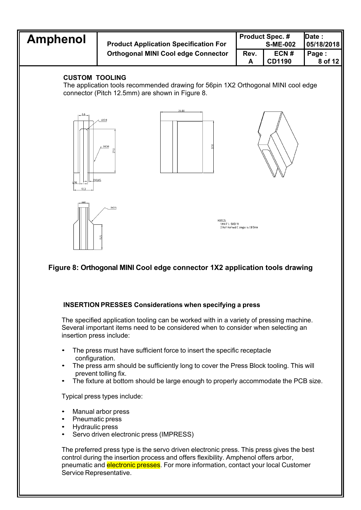

# **Figure 8: Orthogonal MINI Cool edge connector 1X2 application tools drawing**

## **INSERTION PRESSES Considerations when specifying a press**

The specified application tooling can be worked with in a variety of pressing machine. Several important items need to be considered when to consider when selecting an insertion press include:

- The press must have sufficient force to insert the specific receptacle configuration.
- The press arm should be sufficiently long to cover the Press Block tooling. This will prevent tolling fix.
- The fixture at bottom should be large enough to properly accommodate the PCB size.

Typical press types include:

- Manual arbor press
- Pneumatic press
- Hydraulic press
- Servo driven electronic press (IMPRESS)

The preferred press type is the servo driven electronic press. This press gives the best control during the insertion process and offers flexibility. Amphenol offers arbor, pneumatic and electronic presses. For more information, contact your local Customer Service Representative.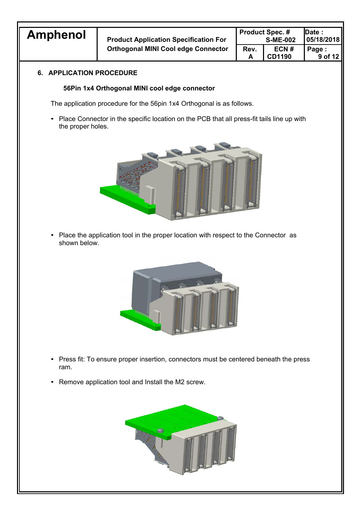

**Amphenol Product Application Specification For Orthogonal MINI Cool edge Connector**

|                 | <b>Product Spec. #</b> | <b>Date :</b> |
|-----------------|------------------------|---------------|
| <b>S-ME-002</b> |                        | 05/18/2018    |
| Rev.            | ECN#                   | Page:         |
| A               | <b>CD1190</b>          | 9 of 12       |

## **6. APPLICATION PROCEDURE**

#### **56Pin 1x4 Orthogonal MINI cool edge connector**

The application procedure for the 56pin 1x4 Orthogonal is as follows.

• Place Connector in the specific location on the PCB that all press-fit tails line up with the proper holes.



• Place the application tool in the proper location with respect to the Connector as shown below.



- Press fit: To ensure proper insertion, connectors must be centered beneath the press ram.
- Remove application tool and Install the M2 screw.

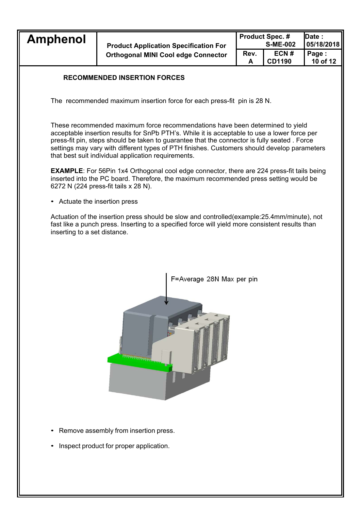| Rev.<br>ECN#<br>Page:<br><b>Orthogonal MINI Cool edge Connector</b><br>10 of 12<br><b>CD1190</b> | <b>Amphenol</b> | <b>Product Application Specification For</b> | <b>Product Spec. #</b><br><b>S-ME-002</b> |  | <b>IDate :</b><br>05/18/2018 |
|--------------------------------------------------------------------------------------------------|-----------------|----------------------------------------------|-------------------------------------------|--|------------------------------|
|                                                                                                  |                 |                                              |                                           |  |                              |

#### **RECOMMENDED INSERTION FORCES**

The recommended maximum insertion force for each press-fit pin is 28 N.

These recommended maximum force recommendations have been determined to yield acceptable insertion results for SnPb PTH's. While it is acceptable to use a lower force per press-fit pin, steps should be taken to guarantee that the connector is fully seated . Force settings may vary with different types of PTH finishes. Customers should develop parameters that best suit individual application requirements.

**EXAMPLE:** For 56Pin 1x4 Orthogonal cool edge connector, there are 224 press-fit tails being inserted into the PC board. Therefore, the maximum recommended press setting would be 6272 N (224 press-fit tails x 28 N).

• Actuate the insertion press

Actuation of the insertion press should be slow and controlled(example:25.4mm/minute), not fast like a punch press. Inserting to a specified force will yield more consistent results than inserting to a set distance.



- Remove assembly from insertion press.
- Inspect product for proper application.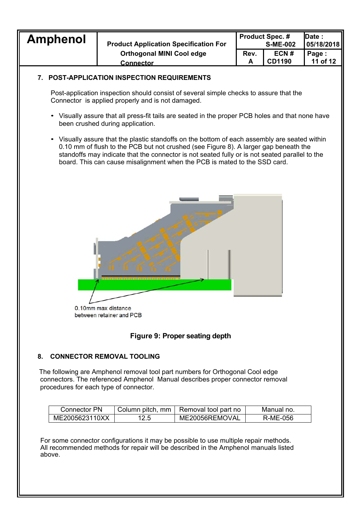| <b>Amphenol</b> | <b>Product Application Specification For</b> |      | <b>Product Spec. #</b><br><b>S-ME-002</b> | <b>IDate:</b><br>05/18/2018 |
|-----------------|----------------------------------------------|------|-------------------------------------------|-----------------------------|
|                 | <b>Orthogonal MINI Cool edge</b>             | Rev. | ECN#<br><b>CD1190</b>                     | Page:<br>11 of 12           |
|                 | <b>Connector</b>                             |      |                                           |                             |

#### **7. POST-APPLICATION INSPECTION REQUIREMENTS**

Post-application inspection should consist of several simple checks to assure that the Connector is applied properly and is not damaged.

- Visually assure that all press-fit tails are seated in the proper PCB holes and that none have been crushed during application.
- Visually assure that the plastic standoffs on the bottom of each assembly are seated within 0.10 mm of flush to the PCB but not crushed (see Figure 8). A larger gap beneath the standoffs may indicate that the connector is not seated fully or is not seated parallel to the board. This can cause misalignment when the PCB is mated to the SSD card.



0.10mm max distance between retainer and PCB

## **Figure 9: Proper seating depth**

#### **8. CONNECTOR REMOVAL TOOLING**

The following are Amphenol removal tool part numbers for Orthogonal Cool edge connectors. The referenced Amphenol Manual describes proper connector removal procedures for each type of connector.

| <b>Connector PN</b> |      | Column pitch, mm   Removal tool part no | Manual no. |
|---------------------|------|-----------------------------------------|------------|
| ME2005623110XX      | 12.5 | ME20056REMOVAL                          | R-ME-056   |

For some connector configurations it may be possible to use multiple repair methods. All recommended methods for repair will be described in the Amphenol manuals listed above.